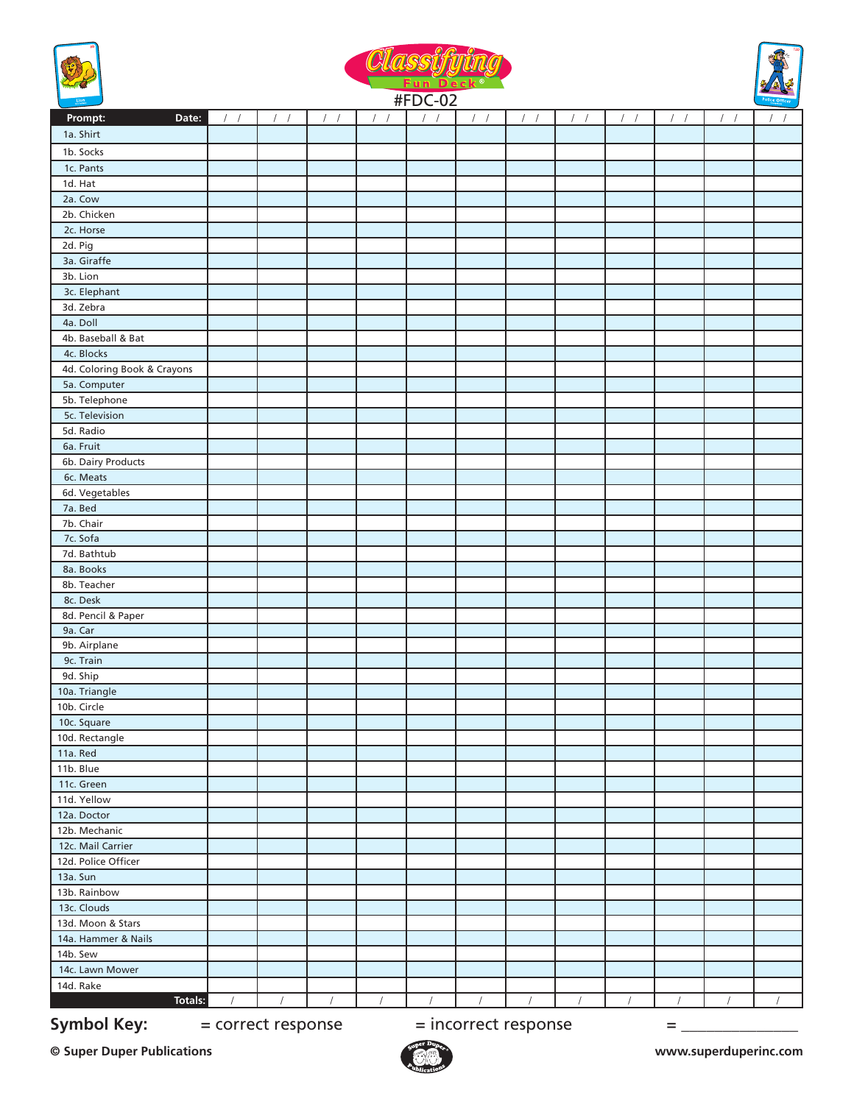





| $\frac{L}{2}$ . The second second second second second second second second second second second second second second second second second second second second second second second second second second second second second se | <b>#FDC-02</b> |                  |                  |                  |            |                  |                  |                  | Police Officer   |                  |                        |            |
|-----------------------------------------------------------------------------------------------------------------------------------------------------------------------------------------------------------------------------------|----------------|------------------|------------------|------------------|------------|------------------|------------------|------------------|------------------|------------------|------------------------|------------|
| Date:<br>Prompt:                                                                                                                                                                                                                  | $\frac{1}{2}$  | $\left  \right $ | $\left  \right $ | $\left  \right $ |            | $\left  \right $ | $\left  \right $ | $\left  \right $ | $\left  \right $ | $\left  \right $ | $\prime$<br>$\sqrt{ }$ |            |
| 1a. Shirt                                                                                                                                                                                                                         |                |                  |                  |                  |            |                  |                  |                  |                  |                  |                        |            |
| 1b. Socks                                                                                                                                                                                                                         |                |                  |                  |                  |            |                  |                  |                  |                  |                  |                        |            |
| 1c. Pants                                                                                                                                                                                                                         |                |                  |                  |                  |            |                  |                  |                  |                  |                  |                        |            |
| 1d. Hat                                                                                                                                                                                                                           |                |                  |                  |                  |            |                  |                  |                  |                  |                  |                        |            |
| 2a. Cow                                                                                                                                                                                                                           |                |                  |                  |                  |            |                  |                  |                  |                  |                  |                        |            |
| 2b. Chicken                                                                                                                                                                                                                       |                |                  |                  |                  |            |                  |                  |                  |                  |                  |                        |            |
| 2c. Horse                                                                                                                                                                                                                         |                |                  |                  |                  |            |                  |                  |                  |                  |                  |                        |            |
| 2d. Pig                                                                                                                                                                                                                           |                |                  |                  |                  |            |                  |                  |                  |                  |                  |                        |            |
| 3a. Giraffe                                                                                                                                                                                                                       |                |                  |                  |                  |            |                  |                  |                  |                  |                  |                        |            |
| 3b. Lion                                                                                                                                                                                                                          |                |                  |                  |                  |            |                  |                  |                  |                  |                  |                        |            |
| 3c. Elephant                                                                                                                                                                                                                      |                |                  |                  |                  |            |                  |                  |                  |                  |                  |                        |            |
| 3d. Zebra                                                                                                                                                                                                                         |                |                  |                  |                  |            |                  |                  |                  |                  |                  |                        |            |
| 4a. Doll                                                                                                                                                                                                                          |                |                  |                  |                  |            |                  |                  |                  |                  |                  |                        |            |
| 4b. Baseball & Bat                                                                                                                                                                                                                |                |                  |                  |                  |            |                  |                  |                  |                  |                  |                        |            |
| 4c. Blocks                                                                                                                                                                                                                        |                |                  |                  |                  |            |                  |                  |                  |                  |                  |                        |            |
| 4d. Coloring Book & Crayons                                                                                                                                                                                                       |                |                  |                  |                  |            |                  |                  |                  |                  |                  |                        |            |
| 5a. Computer                                                                                                                                                                                                                      |                |                  |                  |                  |            |                  |                  |                  |                  |                  |                        |            |
| 5b. Telephone                                                                                                                                                                                                                     |                |                  |                  |                  |            |                  |                  |                  |                  |                  |                        |            |
| 5c. Television                                                                                                                                                                                                                    |                |                  |                  |                  |            |                  |                  |                  |                  |                  |                        |            |
| 5d. Radio                                                                                                                                                                                                                         |                |                  |                  |                  |            |                  |                  |                  |                  |                  |                        |            |
| 6a. Fruit                                                                                                                                                                                                                         |                |                  |                  |                  |            |                  |                  |                  |                  |                  |                        |            |
| 6b. Dairy Products                                                                                                                                                                                                                |                |                  |                  |                  |            |                  |                  |                  |                  |                  |                        |            |
|                                                                                                                                                                                                                                   |                |                  |                  |                  |            |                  |                  |                  |                  |                  |                        |            |
| 6c. Meats<br>6d. Vegetables                                                                                                                                                                                                       |                |                  |                  |                  |            |                  |                  |                  |                  |                  |                        |            |
| 7a. Bed                                                                                                                                                                                                                           |                |                  |                  |                  |            |                  |                  |                  |                  |                  |                        |            |
|                                                                                                                                                                                                                                   |                |                  |                  |                  |            |                  |                  |                  |                  |                  |                        |            |
| 7b. Chair<br>7c. Sofa                                                                                                                                                                                                             |                |                  |                  |                  |            |                  |                  |                  |                  |                  |                        |            |
| 7d. Bathtub                                                                                                                                                                                                                       |                |                  |                  |                  |            |                  |                  |                  |                  |                  |                        |            |
| 8a. Books                                                                                                                                                                                                                         |                |                  |                  |                  |            |                  |                  |                  |                  |                  |                        |            |
| 8b. Teacher                                                                                                                                                                                                                       |                |                  |                  |                  |            |                  |                  |                  |                  |                  |                        |            |
| 8c. Desk                                                                                                                                                                                                                          |                |                  |                  |                  |            |                  |                  |                  |                  |                  |                        |            |
| 8d. Pencil & Paper                                                                                                                                                                                                                |                |                  |                  |                  |            |                  |                  |                  |                  |                  |                        |            |
| 9a. Car                                                                                                                                                                                                                           |                |                  |                  |                  |            |                  |                  |                  |                  |                  |                        |            |
| 9b. Airplane                                                                                                                                                                                                                      |                |                  |                  |                  |            |                  |                  |                  |                  |                  |                        |            |
| 9c. Train                                                                                                                                                                                                                         |                |                  |                  |                  |            |                  |                  |                  |                  |                  |                        |            |
| 9d. Ship                                                                                                                                                                                                                          |                |                  |                  |                  |            |                  |                  |                  |                  |                  |                        |            |
| 10a. Triangle                                                                                                                                                                                                                     |                |                  |                  |                  |            |                  |                  |                  |                  |                  |                        |            |
| 10b. Circle                                                                                                                                                                                                                       |                |                  |                  |                  |            |                  |                  |                  |                  |                  |                        |            |
|                                                                                                                                                                                                                                   |                |                  |                  |                  |            |                  |                  |                  |                  |                  |                        |            |
| 10c. Square<br>10d. Rectangle                                                                                                                                                                                                     |                |                  |                  |                  |            |                  |                  |                  |                  |                  |                        |            |
| 11a. Red                                                                                                                                                                                                                          |                |                  |                  |                  |            |                  |                  |                  |                  |                  |                        |            |
| 11b. Blue                                                                                                                                                                                                                         |                |                  |                  |                  |            |                  |                  |                  |                  |                  |                        |            |
| 11c. Green                                                                                                                                                                                                                        |                |                  |                  |                  |            |                  |                  |                  |                  |                  |                        |            |
| 11d. Yellow                                                                                                                                                                                                                       |                |                  |                  |                  |            |                  |                  |                  |                  |                  |                        |            |
| 12a. Doctor                                                                                                                                                                                                                       |                |                  |                  |                  |            |                  |                  |                  |                  |                  |                        |            |
| 12b. Mechanic                                                                                                                                                                                                                     |                |                  |                  |                  |            |                  |                  |                  |                  |                  |                        |            |
| 12c. Mail Carrier                                                                                                                                                                                                                 |                |                  |                  |                  |            |                  |                  |                  |                  |                  |                        |            |
| 12d. Police Officer                                                                                                                                                                                                               |                |                  |                  |                  |            |                  |                  |                  |                  |                  |                        |            |
| 13a. Sun                                                                                                                                                                                                                          |                |                  |                  |                  |            |                  |                  |                  |                  |                  |                        |            |
| 13b. Rainbow                                                                                                                                                                                                                      |                |                  |                  |                  |            |                  |                  |                  |                  |                  |                        |            |
| 13c. Clouds                                                                                                                                                                                                                       |                |                  |                  |                  |            |                  |                  |                  |                  |                  |                        |            |
|                                                                                                                                                                                                                                   |                |                  |                  |                  |            |                  |                  |                  |                  |                  |                        |            |
| 13d. Moon & Stars                                                                                                                                                                                                                 |                |                  |                  |                  |            |                  |                  |                  |                  |                  |                        |            |
| 14a. Hammer & Nails                                                                                                                                                                                                               |                |                  |                  |                  |            |                  |                  |                  |                  |                  |                        |            |
| 14b. Sew                                                                                                                                                                                                                          |                |                  |                  |                  |            |                  |                  |                  |                  |                  |                        |            |
| 14c. Lawn Mower                                                                                                                                                                                                                   |                |                  |                  |                  |            |                  |                  |                  |                  |                  |                        |            |
| 14d. Rake                                                                                                                                                                                                                         |                |                  |                  |                  |            |                  |                  |                  |                  |                  |                        |            |
| Totals:                                                                                                                                                                                                                           | $\sqrt{2}$     | $\sqrt{2}$       | $\sqrt{2}$       | $\sqrt{2}$       | $\sqrt{2}$ | $\prime$         | $\sqrt{2}$       |                  | $\prime$         | $\sqrt{2}$       | $\sqrt{2}$             | $\sqrt{ }$ |

**Symbol Key:**  $=$  correct response  $=$  incorrect response  $=$   $=$ 

**© Super Duper Publications www.superduperinc.com**